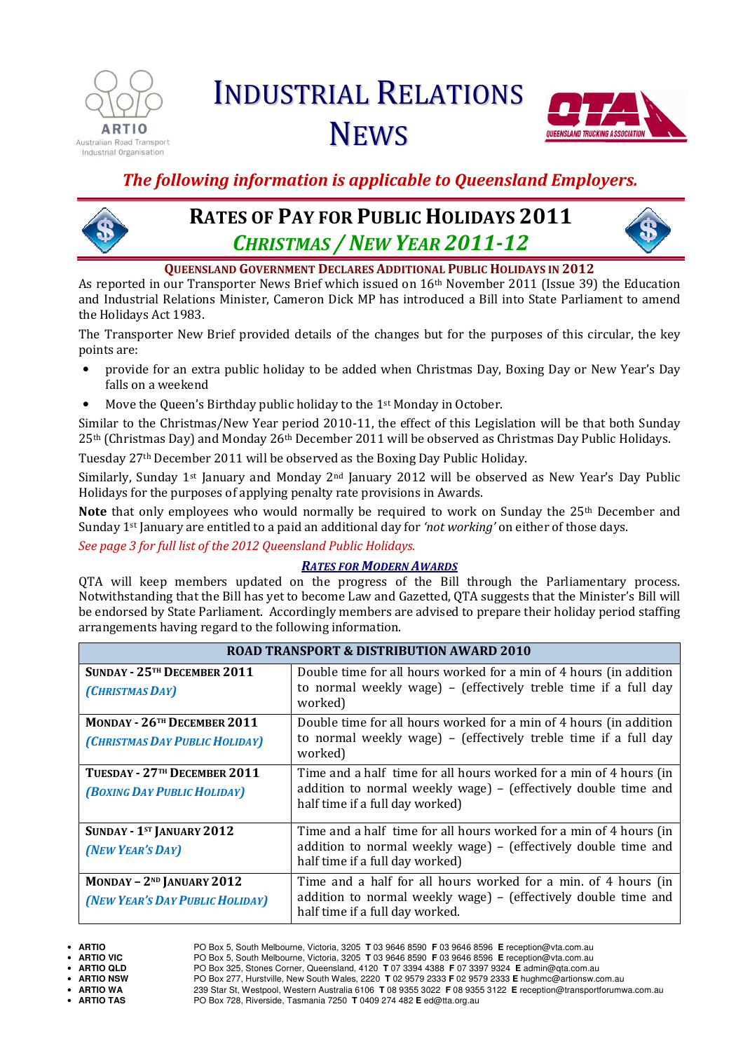

# INDUSTRIAL RELATIONS **NEWS**



### The following information is applicable to Queensland Employers.



## RATES OF PAY FOR PUBLIC HOLIDAYS 2011 CHRISTMAS / NEW YEAR 2011-12



QUEENSLAND GOVERNMENT DECLARES ADDITIONAL PUBLIC HOLIDAYS IN 2012

As reported in our Transporter News Brief which issued on  $16<sup>th</sup>$  November 2011 (Issue 39) the Education and Industrial Relations Minister, Cameron Dick MP has introduced a Bill into State Parliament to amend the Holidays Act 1983.

The Transporter New Brief provided details of the changes but for the purposes of this circular, the key points are:

- provide for an extra public holiday to be added when Christmas Day, Boxing Day or New Year's Day falls on a weekend
- Move the Queen's Birthday public holiday to the 1<sup>st</sup> Monday in October.

Similar to the Christmas/New Year period 2010-11, the effect of this Legislation will be that both Sunday 25<sup>th</sup> (Christmas Day) and Monday 26<sup>th</sup> December 2011 will be observed as Christmas Day Public Holidays.

Tuesday 27th December 2011 will be observed as the Boxing Day Public Holiday.

Similarly, Sunday 1<sup>st</sup> January and Monday 2<sup>nd</sup> January 2012 will be observed as New Year's Day Public Holidays for the purposes of applying penalty rate provisions in Awards.

Note that only employees who would normally be required to work on Sunday the 25<sup>th</sup> December and Sunday  $1<sup>st</sup>$  January are entitled to a paid an additional day for 'not working' on either of those days.

See page 3 for full list of the 2012 Queensland Public Holidays.

### RATES FOR MODERN AWARDS

QTA will keep members updated on the progress of the Bill through the Parliamentary process. Notwithstanding that the Bill has yet to become Law and Gazetted, QTA suggests that the Minister's Bill will be endorsed by State Parliament. Accordingly members are advised to prepare their holiday period staffing arrangements having regard to the following information.

| <b>ROAD TRANSPORT &amp; DISTRIBUTION AWARD 2010</b>                       |                                                                                                                                                                         |  |
|---------------------------------------------------------------------------|-------------------------------------------------------------------------------------------------------------------------------------------------------------------------|--|
| SUNDAY - 25TH DECEMBER 2011<br>(CHRISTMAS DAY)                            | Double time for all hours worked for a min of 4 hours (in addition<br>to normal weekly wage) – (effectively treble time if a full day<br>worked)                        |  |
| MONDAY - 26 <sup>TH</sup> DECEMBER 2011<br>(CHRISTMAS DAY PUBLIC HOLIDAY) | Double time for all hours worked for a min of 4 hours (in addition<br>to normal weekly wage) - (effectively treble time if a full day<br>worked)                        |  |
| TUESDAY - 27TH DECEMBER 2011<br><b>(BOXING DAY PUBLIC HOLIDAY)</b>        | Time and a half time for all hours worked for a min of 4 hours (in<br>addition to normal weekly wage) - (effectively double time and<br>half time if a full day worked) |  |
| SUNDAY - 1ST JANUARY 2012<br>(NEW YEAR'S DAY)                             | Time and a half time for all hours worked for a min of 4 hours (in<br>addition to normal weekly wage) – (effectively double time and<br>half time if a full day worked) |  |
| $MONday - 2ND$ JANUARY 2012<br>(NEW YEAR'S DAY PUBLIC HOLIDAY)            | Time and a half for all hours worked for a min. of 4 hours (in<br>addition to normal weekly wage) – (effectively double time and<br>half time if a full day worked.     |  |

<sup>•</sup> **ARTIO** PO Box 5, South Melbourne, Victoria, 3205 **T** 03 9646 8590 **F** 03 9646 8596 **E** reception@vta.com.au • **ARTIO VIC** PO Box 5, South Melbourne, Victoria, 3205 **T** 03 9646 8590 **F** 03 9646 8596 **E** reception@vta.com.au • **ARTIO QLD** PO Box 325, Stones Corner, Queensland, 4120 **T** 07 3394 4388 **F** 07 3397 9324 **E** admin@qta.com.au • **ARTIO NSW** PO Box 277, Hurstville, New South Wales, 2220 **T** 02 9579 2333 **F** 02 9579 2333 **E** hughmc@artionsw.com.au • **ARTIO WA** 239 Star St, Westpool, Western Australia 6106 **T** 08 9355 3022 **F** 08 9355 3122 **E** reception@transportforumwa.com.au • **ARTIO TAS** PO Box 728, Riverside, Tasmania 7250 **T** 0409 274 482 **E** ed@tta.org.au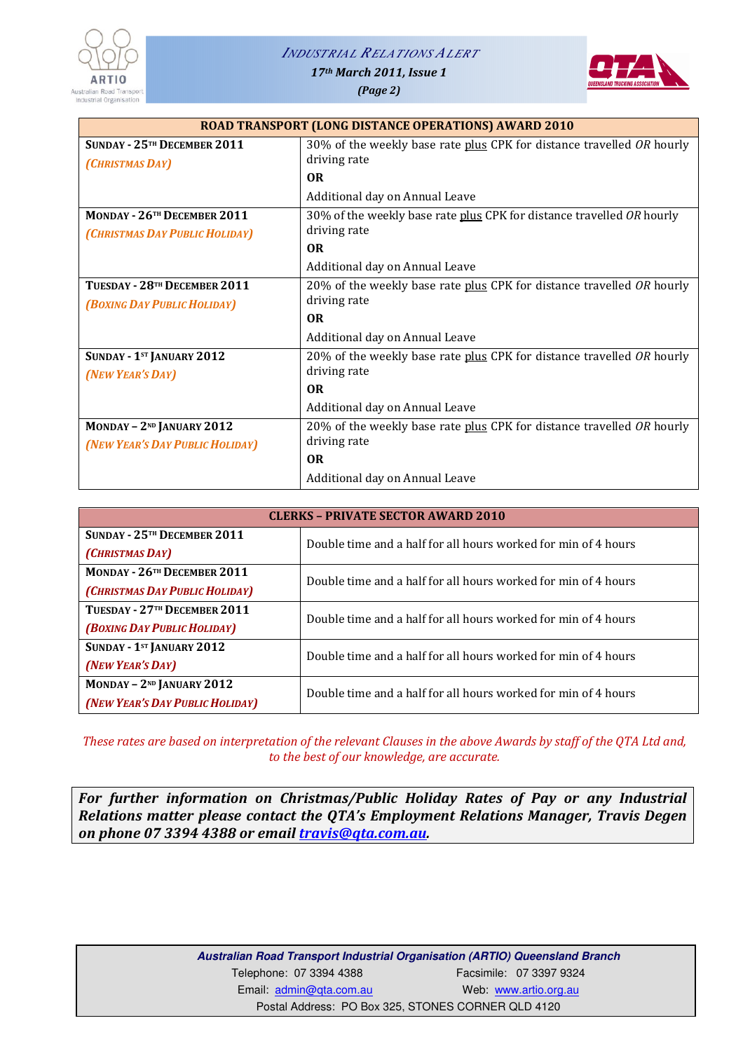#### *INDUSTRIAL RELATIONS ALERT*



17th March 2011, Issue 1

(Page 2)



| <b>ROAD TRANSPORT (LONG DISTANCE OPERATIONS) AWARD 2010</b> |                                                                       |  |
|-------------------------------------------------------------|-----------------------------------------------------------------------|--|
| SUNDAY - 25TH DECEMBER 2011                                 | 30% of the weekly base rate plus CPK for distance travelled OR hourly |  |
| (CHRISTMAS DAY)                                             | driving rate                                                          |  |
|                                                             | 0 <sub>R</sub>                                                        |  |
|                                                             | Additional day on Annual Leave                                        |  |
| MONDAY - 26 <sup>TH</sup> DECEMBER 2011                     | 30% of the weekly base rate plus CPK for distance travelled OR hourly |  |
| (CHRISTMAS DAY PUBLIC HOLIDAY)                              | driving rate                                                          |  |
|                                                             | 0 <sub>R</sub>                                                        |  |
|                                                             | Additional day on Annual Leave                                        |  |
| TUESDAY - 28TH DECEMBER 2011                                | 20% of the weekly base rate plus CPK for distance travelled OR hourly |  |
| <b>(BOXING DAY PUBLIC HOLIDAY)</b>                          | driving rate                                                          |  |
|                                                             | 0 <sub>R</sub>                                                        |  |
|                                                             | Additional day on Annual Leave                                        |  |
| SUNDAY - 1st JANUARY 2012                                   | 20% of the weekly base rate plus CPK for distance travelled OR hourly |  |
| (NEW YEAR'S DAY)                                            | driving rate                                                          |  |
|                                                             | <b>OR</b>                                                             |  |
|                                                             | Additional day on Annual Leave                                        |  |
| MONDAY - 2 <sup>ND</sup> JANUARY 2012                       | 20% of the weekly base rate plus CPK for distance travelled OR hourly |  |
| (NEW YEAR'S DAY PUBLIC HOLIDAY)                             | driving rate                                                          |  |
|                                                             | 0 <sub>R</sub>                                                        |  |
|                                                             | Additional day on Annual Leave                                        |  |

| <b>CLERKS - PRIVATE SECTOR AWARD 2010</b> |                                                                |  |
|-------------------------------------------|----------------------------------------------------------------|--|
| SUNDAY - 25TH DECEMBER 2011               | Double time and a half for all hours worked for min of 4 hours |  |
| (CHRISTMAS DAY)                           |                                                                |  |
| MONDAY - 26 <sup>TH</sup> DECEMBER 2011   | Double time and a half for all hours worked for min of 4 hours |  |
| (CHRISTMAS DAY PUBLIC HOLIDAY)            |                                                                |  |
| TUESDAY - 27TH DECEMBER 2011              | Double time and a half for all hours worked for min of 4 hours |  |
| (BOXING DAY PUBLIC HOLIDAY)               |                                                                |  |
| SUNDAY - 1st JANUARY 2012                 | Double time and a half for all hours worked for min of 4 hours |  |
| (NEW YEAR'S DAY)                          |                                                                |  |
| MONDAY $-2^{ND}$ JANUARY 2012             | Double time and a half for all hours worked for min of 4 hours |  |
| (NEW YEAR'S DAY PUBLIC HOLIDAY)           |                                                                |  |

These rates are based on interpretation of the relevant Clauses in the above Awards by staff of the QTA Ltd and, to the best of our knowledge, are accurate.

For further information on Christmas/Public Holiday Rates of Pay or any Industrial Relations matter please contact the QTA's Employment Relations Manager, Travis Degen on phone 07 3394 4388 or email *travis@qta.com.au.* 

> **Australian Road Transport Industrial Organisation (ARTIO) Queensland Branch**  Telephone: 07 3394 4388 Facsimile: 07 3397 9324 Email: admin@qta.com.au Web: www.artio.org.au Postal Address: PO Box 325, STONES CORNER QLD 4120